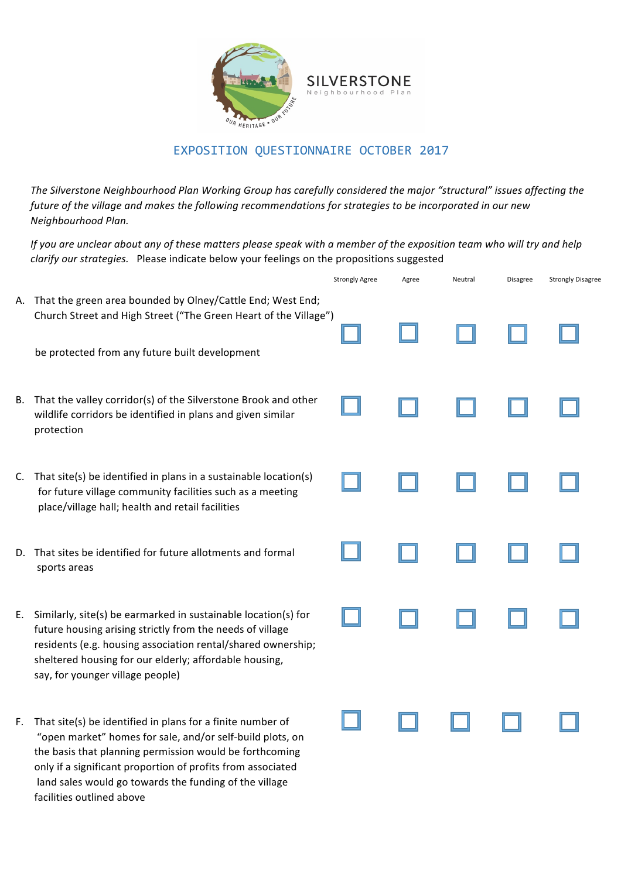

## EXPOSITION QUESTIONNAIRE OCTOBER 2017

The Silverstone Neighbourhood Plan Working Group has carefully considered the major "structural" issues affecting the *future* of the village and makes the following recommendations for strategies to be incorporated in our new *Neighbourhood Plan.*

*If you are unclear about any of these matters please speak with a member of the exposition team who will try and help clarify our strategies.* Please indicate below your feelings on the propositions suggested

|    |                                                                                                                                                                                                                                                                                                             | <b>Strongly Agree</b> | Agree | Neutral | Disagree | <b>Strongly Disagree</b> |
|----|-------------------------------------------------------------------------------------------------------------------------------------------------------------------------------------------------------------------------------------------------------------------------------------------------------------|-----------------------|-------|---------|----------|--------------------------|
| А. | That the green area bounded by Olney/Cattle End; West End;<br>Church Street and High Street ("The Green Heart of the Village")<br>be protected from any future built development                                                                                                                            |                       |       |         |          |                          |
|    | B. That the valley corridor(s) of the Silverstone Brook and other<br>wildlife corridors be identified in plans and given similar<br>protection                                                                                                                                                              |                       |       |         |          |                          |
| C. | That site(s) be identified in plans in a sustainable location(s)<br>for future village community facilities such as a meeting<br>place/village hall; health and retail facilities                                                                                                                           |                       |       |         |          |                          |
|    | D. That sites be identified for future allotments and formal<br>sports areas                                                                                                                                                                                                                                |                       |       |         |          |                          |
| Е. | Similarly, site(s) be earmarked in sustainable location(s) for<br>future housing arising strictly from the needs of village<br>residents (e.g. housing association rental/shared ownership;<br>sheltered housing for our elderly; affordable housing,<br>say, for younger village people)                   |                       |       |         |          |                          |
| F. | That site(s) be identified in plans for a finite number of<br>"open market" homes for sale, and/or self-build plots, on<br>the basis that planning permission would be forthcoming<br>only if a significant proportion of profits from associated<br>land sales would go towards the funding of the village |                       |       |         |          |                          |

facilities outlined above